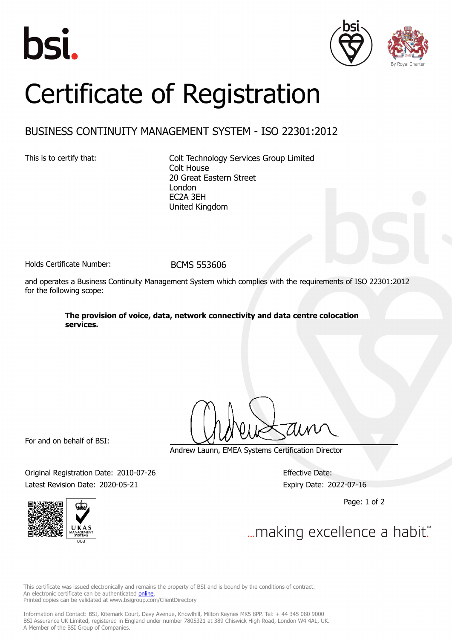





## Certificate of Registration

## BUSINESS CONTINUITY MANAGEMENT SYSTEM - ISO 22301:2012

This is to certify that: Colt Technology Services Group Limited Colt House 20 Great Eastern Street London EC2A 3EH United Kingdom

Holds Certificate Number: BCMS 553606

and operates a Business Continuity Management System which complies with the requirements of ISO 22301:2012 for the following scope:

> **The provision of voice, data, network connectivity and data centre colocation services.**

For and on behalf of BSI:

Andrew Launn, EMEA Systems Certification Director

Original Registration Date: 2010-07-26 Effective Date: Latest Revision Date: 2020-05-21 Expiry Date: 2022-07-16

Page: 1 of 2



... making excellence a habit."

This certificate was issued electronically and remains the property of BSI and is bound by the conditions of contract. An electronic certificate can be authenticated **[online](https://pgplus.bsigroup.com/CertificateValidation/CertificateValidator.aspx?CertificateNumber=BCMS+553606&ReIssueDate=21%2f05%2f2020&Template=uk)** Printed copies can be validated at www.bsigroup.com/ClientDirectory

Information and Contact: BSI, Kitemark Court, Davy Avenue, Knowlhill, Milton Keynes MK5 8PP. Tel: + 44 345 080 9000 BSI Assurance UK Limited, registered in England under number 7805321 at 389 Chiswick High Road, London W4 4AL, UK. A Member of the BSI Group of Companies.